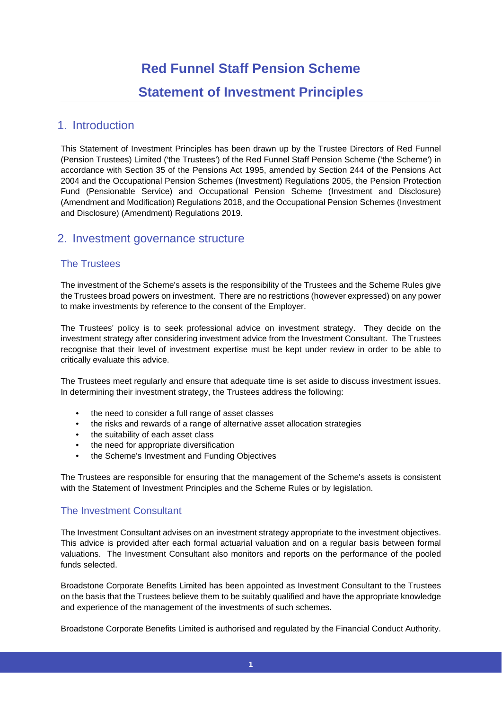# **Red Funnel Staff Pension Scheme Statement of Investment Principles**

# 1. Introduction

This Statement of Investment Principles has been drawn up by the Trustee Directors of Red Funnel (Pension Trustees) Limited ('the Trustees') of the Red Funnel Staff Pension Scheme ('the Scheme') in accordance with Section 35 of the Pensions Act 1995, amended by Section 244 of the Pensions Act 2004 and the Occupational Pension Schemes (Investment) Regulations 2005, the Pension Protection Fund (Pensionable Service) and Occupational Pension Scheme (Investment and Disclosure) (Amendment and Modification) Regulations 2018, and the Occupational Pension Schemes (Investment and Disclosure) (Amendment) Regulations 2019.

# 2. Investment governance structure

### The Trustees

The investment of the Scheme's assets is the responsibility of the Trustees and the Scheme Rules give the Trustees broad powers on investment. There are no restrictions (however expressed) on any power to make investments by reference to the consent of the Employer.

The Trustees' policy is to seek professional advice on investment strategy. They decide on the investment strategy after considering investment advice from the Investment Consultant. The Trustees recognise that their level of investment expertise must be kept under review in order to be able to critically evaluate this advice.

The Trustees meet regularly and ensure that adequate time is set aside to discuss investment issues. In determining their investment strategy, the Trustees address the following:

- the need to consider a full range of asset classes
- the risks and rewards of a range of alternative asset allocation strategies
- the suitability of each asset class
- the need for appropriate diversification
- the Scheme's Investment and Funding Objectives

The Trustees are responsible for ensuring that the management of the Scheme's assets is consistent with the Statement of Investment Principles and the Scheme Rules or by legislation.

### The Investment Consultant

The Investment Consultant advises on an investment strategy appropriate to the investment objectives. This advice is provided after each formal actuarial valuation and on a regular basis between formal valuations. The Investment Consultant also monitors and reports on the performance of the pooled funds selected.

Broadstone Corporate Benefits Limited has been appointed as Investment Consultant to the Trustees on the basis that the Trustees believe them to be suitably qualified and have the appropriate knowledge and experience of the management of the investments of such schemes.

Broadstone Corporate Benefits Limited is authorised and regulated by the Financial Conduct Authority.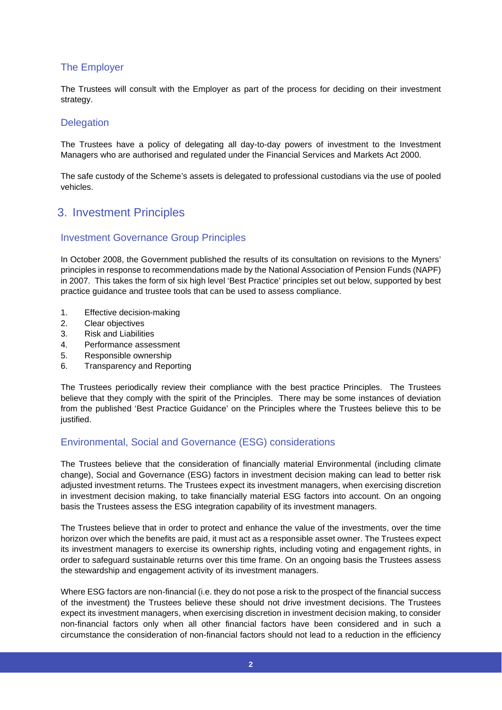### The Employer

The Trustees will consult with the Employer as part of the process for deciding on their investment strategy.

### **Delegation**

The Trustees have a policy of delegating all day-to-day powers of investment to the Investment Managers who are authorised and regulated under the Financial Services and Markets Act 2000.

The safe custody of the Scheme's assets is delegated to professional custodians via the use of pooled vehicles.

# 3. Investment Principles

### Investment Governance Group Principles

In October 2008, the Government published the results of its consultation on revisions to the Myners' principles in response to recommendations made by the National Association of Pension Funds (NAPF) in 2007. This takes the form of six high level 'Best Practice' principles set out below, supported by best practice guidance and trustee tools that can be used to assess compliance.

- 1. Effective decision-making
- 2. Clear objectives
- 3. Risk and Liabilities
- 4. Performance assessment
- 5. Responsible ownership
- 6. Transparency and Reporting

The Trustees periodically review their compliance with the best practice Principles. The Trustees believe that they comply with the spirit of the Principles. There may be some instances of deviation from the published 'Best Practice Guidance' on the Principles where the Trustees believe this to be justified.

### Environmental, Social and Governance (ESG) considerations

The Trustees believe that the consideration of financially material Environmental (including climate change), Social and Governance (ESG) factors in investment decision making can lead to better risk adjusted investment returns. The Trustees expect its investment managers, when exercising discretion in investment decision making, to take financially material ESG factors into account. On an ongoing basis the Trustees assess the ESG integration capability of its investment managers.

The Trustees believe that in order to protect and enhance the value of the investments, over the time horizon over which the benefits are paid, it must act as a responsible asset owner. The Trustees expect its investment managers to exercise its ownership rights, including voting and engagement rights, in order to safeguard sustainable returns over this time frame. On an ongoing basis the Trustees assess the stewardship and engagement activity of its investment managers.

Where ESG factors are non-financial (i.e. they do not pose a risk to the prospect of the financial success of the investment) the Trustees believe these should not drive investment decisions. The Trustees expect its investment managers, when exercising discretion in investment decision making, to consider non-financial factors only when all other financial factors have been considered and in such a circumstance the consideration of non-financial factors should not lead to a reduction in the efficiency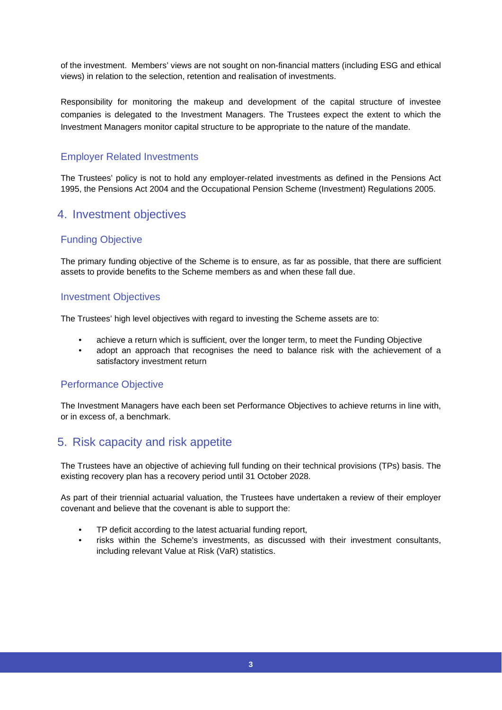of the investment. Members' views are not sought on non-financial matters (including ESG and ethical views) in relation to the selection, retention and realisation of investments.

Responsibility for monitoring the makeup and development of the capital structure of investee companies is delegated to the Investment Managers. The Trustees expect the extent to which the Investment Managers monitor capital structure to be appropriate to the nature of the mandate.

### Employer Related Investments

The Trustees' policy is not to hold any employer-related investments as defined in the Pensions Act 1995, the Pensions Act 2004 and the Occupational Pension Scheme (Investment) Regulations 2005.

# 4. Investment objectives

### Funding Objective

The primary funding objective of the Scheme is to ensure, as far as possible, that there are sufficient assets to provide benefits to the Scheme members as and when these fall due.

### Investment Objectives

The Trustees' high level objectives with regard to investing the Scheme assets are to:

- achieve a return which is sufficient, over the longer term, to meet the Funding Objective
- adopt an approach that recognises the need to balance risk with the achievement of a satisfactory investment return

### Performance Objective

The Investment Managers have each been set Performance Objectives to achieve returns in line with, or in excess of, a benchmark.

# 5. Risk capacity and risk appetite

The Trustees have an objective of achieving full funding on their technical provisions (TPs) basis. The existing recovery plan has a recovery period until 31 October 2028.

As part of their triennial actuarial valuation, the Trustees have undertaken a review of their employer covenant and believe that the covenant is able to support the:

- TP deficit according to the latest actuarial funding report,
- risks within the Scheme's investments, as discussed with their investment consultants, including relevant Value at Risk (VaR) statistics.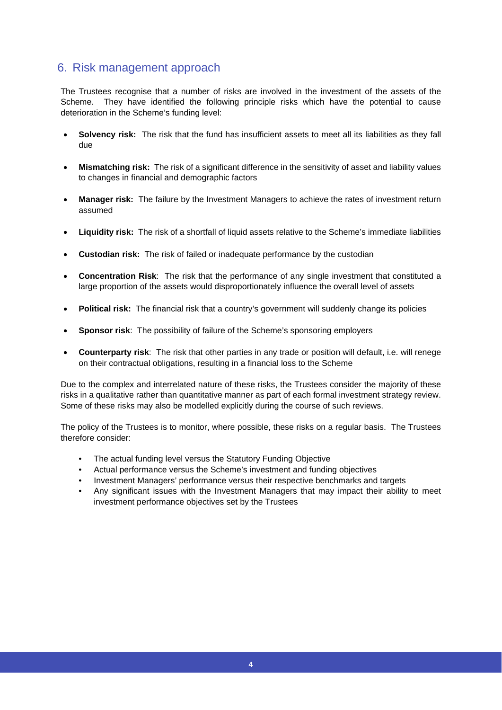# 6. Risk management approach

The Trustees recognise that a number of risks are involved in the investment of the assets of the Scheme. They have identified the following principle risks which have the potential to cause deterioration in the Scheme's funding level:

- **Solvency risk:** The risk that the fund has insufficient assets to meet all its liabilities as they fall due
- **Mismatching risk:** The risk of a significant difference in the sensitivity of asset and liability values to changes in financial and demographic factors
- **Manager risk:** The failure by the Investment Managers to achieve the rates of investment return assumed
- **Liquidity risk:** The risk of a shortfall of liquid assets relative to the Scheme's immediate liabilities
- **Custodian risk:** The risk of failed or inadequate performance by the custodian
- **Concentration Risk**: The risk that the performance of any single investment that constituted a large proportion of the assets would disproportionately influence the overall level of assets
- **Political risk:** The financial risk that a country's government will suddenly change its policies
- **Sponsor risk:** The possibility of failure of the Scheme's sponsoring employers
- **Counterparty risk**: The risk that other parties in any trade or position will default, i.e. will renege on their contractual obligations, resulting in a financial loss to the Scheme

Due to the complex and interrelated nature of these risks, the Trustees consider the majority of these risks in a qualitative rather than quantitative manner as part of each formal investment strategy review. Some of these risks may also be modelled explicitly during the course of such reviews.

The policy of the Trustees is to monitor, where possible, these risks on a regular basis. The Trustees therefore consider:

- The actual funding level versus the Statutory Funding Objective
- Actual performance versus the Scheme's investment and funding objectives
- Investment Managers' performance versus their respective benchmarks and targets
- Any significant issues with the Investment Managers that may impact their ability to meet investment performance objectives set by the Trustees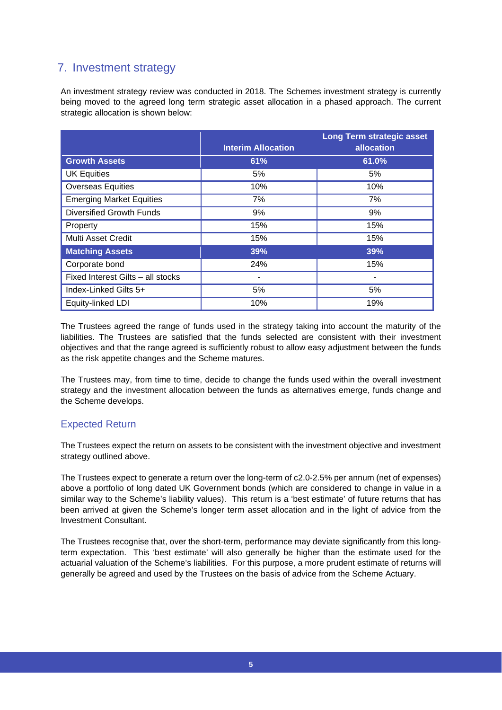# 7. Investment strategy

An investment strategy review was conducted in 2018. The Schemes investment strategy is currently being moved to the agreed long term strategic asset allocation in a phased approach. The current strategic allocation is shown below:

|                                   |                           | <b>Long Term strategic asset</b> |
|-----------------------------------|---------------------------|----------------------------------|
|                                   | <b>Interim Allocation</b> | allocation                       |
| <b>Growth Assets</b>              | 61%                       | 61.0%                            |
| <b>UK Equities</b>                | 5%                        | 5%                               |
| <b>Overseas Equities</b>          | 10%                       | 10%                              |
| <b>Emerging Market Equities</b>   | 7%                        | 7%                               |
| <b>Diversified Growth Funds</b>   | 9%                        | 9%                               |
| Property                          | 15%                       | 15%                              |
| Multi Asset Credit                | 15%                       | 15%                              |
| <b>Matching Assets</b>            | 39%                       | 39%                              |
| Corporate bond                    | 24%                       | 15%                              |
| Fixed Interest Gilts - all stocks |                           |                                  |
| Index-Linked Gilts 5+             | 5%                        | 5%                               |
| Equity-linked LDI                 | 10%                       | 19%                              |

The Trustees agreed the range of funds used in the strategy taking into account the maturity of the liabilities. The Trustees are satisfied that the funds selected are consistent with their investment objectives and that the range agreed is sufficiently robust to allow easy adjustment between the funds as the risk appetite changes and the Scheme matures.

The Trustees may, from time to time, decide to change the funds used within the overall investment strategy and the investment allocation between the funds as alternatives emerge, funds change and the Scheme develops.

### Expected Return

The Trustees expect the return on assets to be consistent with the investment objective and investment strategy outlined above.

The Trustees expect to generate a return over the long-term of c2.0-2.5% per annum (net of expenses) above a portfolio of long dated UK Government bonds (which are considered to change in value in a similar way to the Scheme's liability values). This return is a 'best estimate' of future returns that has been arrived at given the Scheme's longer term asset allocation and in the light of advice from the Investment Consultant.

The Trustees recognise that, over the short-term, performance may deviate significantly from this longterm expectation. This 'best estimate' will also generally be higher than the estimate used for the actuarial valuation of the Scheme's liabilities. For this purpose, a more prudent estimate of returns will generally be agreed and used by the Trustees on the basis of advice from the Scheme Actuary.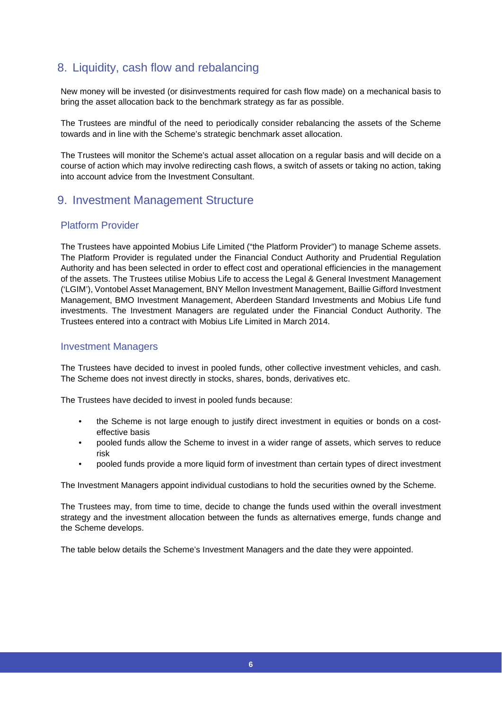# 8. Liquidity, cash flow and rebalancing

New money will be invested (or disinvestments required for cash flow made) on a mechanical basis to bring the asset allocation back to the benchmark strategy as far as possible.

The Trustees are mindful of the need to periodically consider rebalancing the assets of the Scheme towards and in line with the Scheme's strategic benchmark asset allocation.

The Trustees will monitor the Scheme's actual asset allocation on a regular basis and will decide on a course of action which may involve redirecting cash flows, a switch of assets or taking no action, taking into account advice from the Investment Consultant.

# 9. Investment Management Structure

### Platform Provider

The Trustees have appointed Mobius Life Limited ("the Platform Provider") to manage Scheme assets. The Platform Provider is regulated under the Financial Conduct Authority and Prudential Regulation Authority and has been selected in order to effect cost and operational efficiencies in the management of the assets. The Trustees utilise Mobius Life to access the Legal & General Investment Management ('LGIM'), Vontobel Asset Management, BNY Mellon Investment Management, Baillie Gifford Investment Management, BMO Investment Management, Aberdeen Standard Investments and Mobius Life fund investments. The Investment Managers are regulated under the Financial Conduct Authority. The Trustees entered into a contract with Mobius Life Limited in March 2014.

### Investment Managers

The Trustees have decided to invest in pooled funds, other collective investment vehicles, and cash. The Scheme does not invest directly in stocks, shares, bonds, derivatives etc.

The Trustees have decided to invest in pooled funds because:

- the Scheme is not large enough to justify direct investment in equities or bonds on a costeffective basis
- pooled funds allow the Scheme to invest in a wider range of assets, which serves to reduce risk
- pooled funds provide a more liquid form of investment than certain types of direct investment

The Investment Managers appoint individual custodians to hold the securities owned by the Scheme.

The Trustees may, from time to time, decide to change the funds used within the overall investment strategy and the investment allocation between the funds as alternatives emerge, funds change and the Scheme develops.

The table below details the Scheme's Investment Managers and the date they were appointed.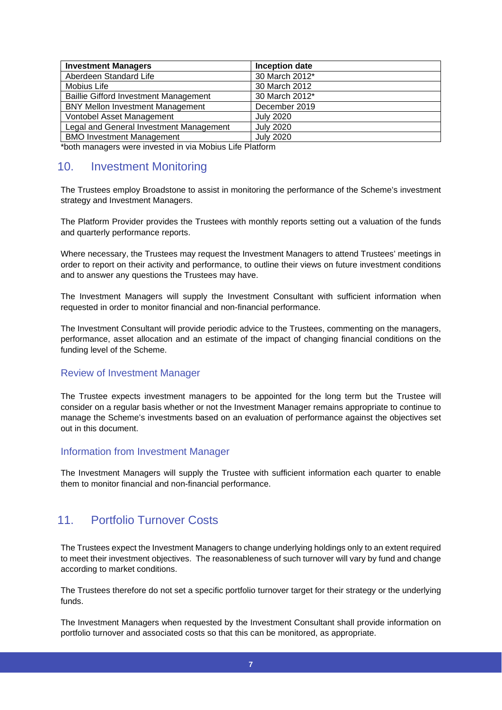| Inception date   |
|------------------|
| 30 March 2012*   |
| 30 March 2012    |
| 30 March 2012*   |
| December 2019    |
| <b>July 2020</b> |
| <b>July 2020</b> |
| <b>July 2020</b> |
|                  |

\*both managers were invested in via Mobius Life Platform

# 10. Investment Monitoring

The Trustees employ Broadstone to assist in monitoring the performance of the Scheme's investment strategy and Investment Managers.

The Platform Provider provides the Trustees with monthly reports setting out a valuation of the funds and quarterly performance reports.

Where necessary, the Trustees may request the Investment Managers to attend Trustees' meetings in order to report on their activity and performance, to outline their views on future investment conditions and to answer any questions the Trustees may have.

The Investment Managers will supply the Investment Consultant with sufficient information when requested in order to monitor financial and non-financial performance.

The Investment Consultant will provide periodic advice to the Trustees, commenting on the managers, performance, asset allocation and an estimate of the impact of changing financial conditions on the funding level of the Scheme.

### Review of Investment Manager

The Trustee expects investment managers to be appointed for the long term but the Trustee will consider on a regular basis whether or not the Investment Manager remains appropriate to continue to manage the Scheme's investments based on an evaluation of performance against the objectives set out in this document.

### Information from Investment Manager

The Investment Managers will supply the Trustee with sufficient information each quarter to enable them to monitor financial and non-financial performance.

# 11. Portfolio Turnover Costs

The Trustees expect the Investment Managers to change underlying holdings only to an extent required to meet their investment objectives. The reasonableness of such turnover will vary by fund and change according to market conditions.

The Trustees therefore do not set a specific portfolio turnover target for their strategy or the underlying funds.

The Investment Managers when requested by the Investment Consultant shall provide information on portfolio turnover and associated costs so that this can be monitored, as appropriate.